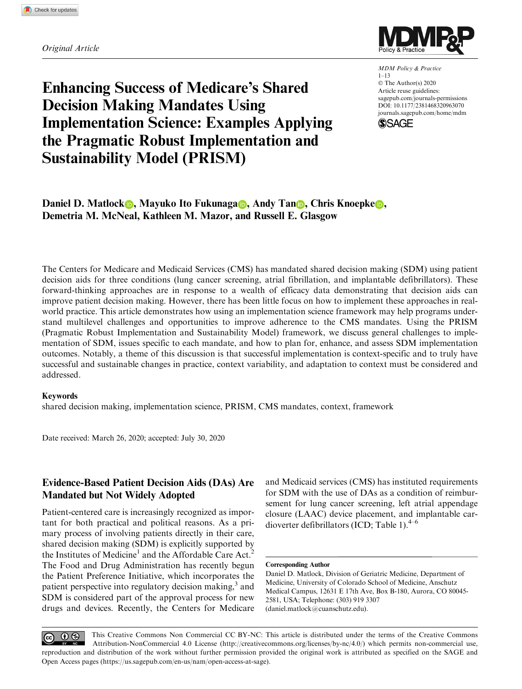Original Article



MDM Policy & Practice  $1 - 13$ © The Author(s) 2020 Article reuse guidelines: [sagepub.com/journals-permissions](us.sagepub.com/en-us/journals-permissions) [DOI: 10.1177/2381468320963070](https://doi.org/10.1177/2381468320963070) <journals.sagepub.com/home/mdm> **SSAGE** 

# Enhancing Success of Medicare's Shared Decision Making Mandates Using Implementation Science: Examples Applying the Pragmatic Robust Implementation and Sustainability Model (PRISM)

Daniel D. Matlock **D.** Mayuko Ito Fukunaga **D.** Andy Tan **D.** Chris Knoepke **D.** Demetria M. McNeal, Kathleen M. Mazor, and Russell E. Glasgow

The Centers for Medicare and Medicaid Services (CMS) has mandated shared decision making (SDM) using patient decision aids for three conditions (lung cancer screening, atrial fibrillation, and implantable defibrillators). These forward-thinking approaches are in response to a wealth of efficacy data demonstrating that decision aids can improve patient decision making. However, there has been little focus on how to implement these approaches in realworld practice. This article demonstrates how using an implementation science framework may help programs understand multilevel challenges and opportunities to improve adherence to the CMS mandates. Using the PRISM (Pragmatic Robust Implementation and Sustainability Model) framework, we discuss general challenges to implementation of SDM, issues specific to each mandate, and how to plan for, enhance, and assess SDM implementation outcomes. Notably, a theme of this discussion is that successful implementation is context-specific and to truly have successful and sustainable changes in practice, context variability, and adaptation to context must be considered and addressed.

#### Keywords

shared decision making, implementation science, PRISM, CMS mandates, context, framework

Date received: March 26, 2020; accepted: July 30, 2020

# Evidence-Based Patient Decision Aids (DAs) Are Mandated but Not Widely Adopted

Patient-centered care is increasingly recognized as important for both practical and political reasons. As a primary process of involving patients directly in their care, shared decision making (SDM) is explicitly supported by the Institutes of Medicine<sup>1</sup> and the Affordable Care Act.<sup>2</sup> The Food and Drug Administration has recently begun the Patient Preference Initiative, which incorporates the patient perspective into regulatory decision making,<sup>3</sup> and SDM is considered part of the approval process for new drugs and devices. Recently, the Centers for Medicare and Medicaid services (CMS) has instituted requirements for SDM with the use of DAs as a condition of reimbursement for lung cancer screening, left atrial appendage closure (LAAC) device placement, and implantable cardioverter defibrillators (ICD; Table 1). $4-6$ 

#### Corresponding Author

Daniel D. Matlock, Division of Geriatric Medicine, Department of Medicine, University of Colorado School of Medicine, Anschutz Medical Campus, 12631 E 17th Ave, Box B-180, Aurora, CO 80045- 2581, USA; Telephone: (303) 919 3307 (daniel.matlock@cuanschutz.edu).

This Creative Commons Non Commercial CC BY-NC: This article is distributed under the terms of the Creative Commons  $\odot$  $0$ Attribution-NonCommercial 4.0 License (http://creativecommons.org/licenses/by-nc/4.0/) which permits non-commercial use, reproduction and distribution of the work without further permission provided the original work is attributed as specified on the SAGE and Open Access pages (https://us.sagepub.com/en-us/nam/open-access-at-sage).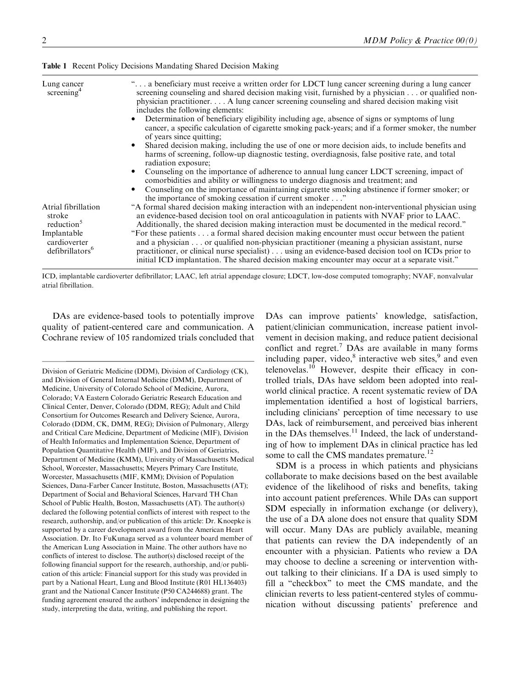| Lung cancer<br>screening <sup>4</sup>                      | " a beneficiary must receive a written order for LDCT lung cancer screening during a lung cancer<br>screening counseling and shared decision making visit, furnished by a physician or qualified non-<br>physician practitioner A lung cancer screening counseling and shared decision making visit<br>includes the following elements:                                                               |
|------------------------------------------------------------|-------------------------------------------------------------------------------------------------------------------------------------------------------------------------------------------------------------------------------------------------------------------------------------------------------------------------------------------------------------------------------------------------------|
|                                                            | Determination of beneficiary eligibility including age, absence of signs or symptoms of lung<br>cancer, a specific calculation of cigarette smoking pack-years; and if a former smoker, the number<br>of years since quitting;                                                                                                                                                                        |
|                                                            | Shared decision making, including the use of one or more decision aids, to include benefits and<br>$\bullet$<br>harms of screening, follow-up diagnostic testing, overdiagnosis, false positive rate, and total<br>radiation exposure;                                                                                                                                                                |
|                                                            | Counseling on the importance of adherence to annual lung cancer LDCT screening, impact of<br>$\bullet$<br>comorbidities and ability or willingness to undergo diagnosis and treatment; and<br>Counseling on the importance of maintaining cigarette smoking abstinence if former smoker; or                                                                                                           |
| Atrial fibrillation<br>stroke<br>reduction <sup>5</sup>    | the importance of smoking cessation if current smoker"<br>"A formal shared decision making interaction with an independent non-interventional physician using<br>an evidence-based decision tool on oral anticoagulation in patients with NVAF prior to LAAC.<br>Additionally, the shared decision making interaction must be documented in the medical record."                                      |
| Implantable<br>cardioverter<br>defibrillators <sup>6</sup> | "For these patients a formal shared decision making encounter must occur between the patient<br>and a physician or qualified non-physician practitioner (meaning a physician assistant, nurse<br>practitioner, or clinical nurse specialist) using an evidence-based decision tool on ICDs prior to<br>initial ICD implantation. The shared decision making encounter may occur at a separate visit." |

Table 1 Recent Policy Decisions Mandating Shared Decision Making

ICD, implantable cardioverter defibrillator; LAAC, left atrial appendage closure; LDCT, low-dose computed tomography; NVAF, nonvalvular atrial fibrillation.

DAs are evidence-based tools to potentially improve quality of patient-centered care and communication. A Cochrane review of 105 randomized trials concluded that

Division of Geriatric Medicine (DDM), Division of Cardiology (CK), and Division of General Internal Medicine (DMM), Department of Medicine, University of Colorado School of Medicine, Aurora, Colorado; VA Eastern Colorado Geriatric Research Education and Clinical Center, Denver, Colorado (DDM, REG); Adult and Child Consortium for Outcomes Research and Delivery Science, Aurora, Colorado (DDM, CK, DMM, REG); Division of Pulmonary, Allergy and Critical Care Medicine, Department of Medicine (MIF), Division of Health Informatics and Implementation Science, Department of Population Quantitative Health (MIF), and Division of Geriatrics, Department of Medicine (KMM), University of Massachusetts Medical School, Worcester, Massachusetts; Meyers Primary Care Institute, Worcester, Massachusetts (MIF, KMM); Division of Population Sciences, Dana-Farber Cancer Institute, Boston, Massachusetts (AT); Department of Social and Behavioral Sciences, Harvard TH Chan School of Public Health, Boston, Massachusetts (AT). The author(s) declared the following potential conflicts of interest with respect to the research, authorship, and/or publication of this article: Dr. Knoepke is supported by a career development award from the American Heart Association. Dr. Ito FuKunaga served as a volunteer board member of the American Lung Association in Maine. The other authors have no conflicts of interest to disclose. The author(s) disclosed receipt of the following financial support for the research, authorship, and/or publication of this article: Financial support for this study was provided in part by a National Heart, Lung and Blood Institute (R01 HL136403) grant and the National Cancer Institute (P50 CA244688) grant. The funding agreement ensured the authors' independence in designing the study, interpreting the data, writing, and publishing the report.

DAs can improve patients' knowledge, satisfaction, patient/clinician communication, increase patient involvement in decision making, and reduce patient decisional conflict and regret.<sup>7</sup> DAs are available in many forms including paper, video, $8$  interactive web sites, $9$  and even telenovelas. $10$  However, despite their efficacy in controlled trials, DAs have seldom been adopted into realworld clinical practice. A recent systematic review of DA implementation identified a host of logistical barriers, including clinicians' perception of time necessary to use DAs, lack of reimbursement, and perceived bias inherent in the DAs themselves. $^{11}$  Indeed, the lack of understanding of how to implement DAs in clinical practice has led some to call the CMS mandates premature.<sup>12</sup>

SDM is a process in which patients and physicians collaborate to make decisions based on the best available evidence of the likelihood of risks and benefits, taking into account patient preferences. While DAs can support SDM especially in information exchange (or delivery), the use of a DA alone does not ensure that quality SDM will occur. Many DAs are publicly available, meaning that patients can review the DA independently of an encounter with a physician. Patients who review a DA may choose to decline a screening or intervention without talking to their clinicians. If a DA is used simply to fill a ''checkbox'' to meet the CMS mandate, and the clinician reverts to less patient-centered styles of communication without discussing patients' preference and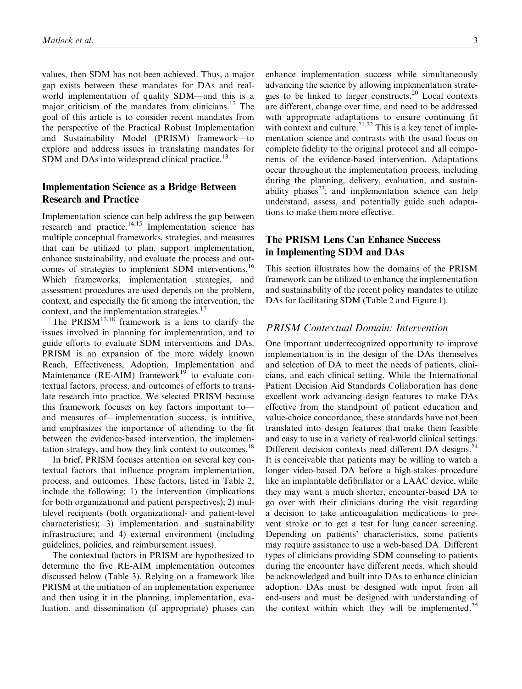values, then SDM has not been achieved. Thus, a major gap exists between these mandates for DAs and realworld implementation of quality SDM—and this is a major criticism of the mandates from clinicians.<sup>12</sup> The goal of this article is to consider recent mandates from the perspective of the Practical Robust Implementation and Sustainability Model (PRISM) framework—to explore and address issues in translating mandates for SDM and DAs into widespread clinical practice.<sup>13</sup>

## Implementation Science as a Bridge Between Research and Practice

Implementation science can help address the gap between research and practice. $14,15$  Implementation science has multiple conceptual frameworks, strategies, and measures that can be utilized to plan, support implementation, enhance sustainability, and evaluate the process and outcomes of strategies to implement SDM interventions.<sup>16</sup> Which frameworks, implementation strategies, and assessment procedures are used depends on the problem, context, and especially the fit among the intervention, the context, and the implementation strategies.<sup>17</sup>

The  $PRISM^{13,18}$  framework is a lens to clarify the issues involved in planning for implementation, and to guide efforts to evaluate SDM interventions and DAs. PRISM is an expansion of the more widely known Reach, Effectiveness, Adoption, Implementation and Maintenance ( $RE-AIM$ ) framework<sup>19</sup> to evaluate contextual factors, process, and outcomes of efforts to translate research into practice. We selected PRISM because this framework focuses on key factors important to and measures of—implementation success, is intuitive, and emphasizes the importance of attending to the fit between the evidence-based intervention, the implementation strategy, and how they link context to outcomes.<sup>18</sup>

In brief, PRISM focuses attention on several key contextual factors that influence program implementation, process, and outcomes. These factors, listed in Table 2, include the following: 1) the intervention (implications for both organizational and patient perspectives); 2) multilevel recipients (both organizational- and patient-level characteristics); 3) implementation and sustainability infrastructure; and 4) external environment (including guidelines, policies, and reimbursement issues).

The contextual factors in PRISM are hypothesized to determine the five RE-AIM implementation outcomes discussed below (Table 3). Relying on a framework like PRISM at the initiation of an implementation experience and then using it in the planning, implementation, evaluation, and dissemination (if appropriate) phases can enhance implementation success while simultaneously advancing the science by allowing implementation strategies to be linked to larger constructs.<sup>20</sup> Local contexts are different, change over time, and need to be addressed with appropriate adaptations to ensure continuing fit with context and culture.<sup>21,22</sup> This is a key tenet of implementation science and contrasts with the usual focus on complete fidelity to the original protocol and all components of the evidence-based intervention. Adaptations occur throughout the implementation process, including during the planning, delivery, evaluation, and sustainability phases<sup>23</sup>; and implementation science can help understand, assess, and potentially guide such adaptations to make them more effective.

## The PRISM Lens Can Enhance Success in Implementing SDM and DAs

This section illustrates how the domains of the PRISM framework can be utilized to enhance the implementation and sustainability of the recent policy mandates to utilize DAs for facilitating SDM (Table 2 and Figure 1).

#### PRISM Contextual Domain: Intervention

One important underrecognized opportunity to improve implementation is in the design of the DAs themselves and selection of DA to meet the needs of patients, clinicians, and each clinical setting. While the International Patient Decision Aid Standards Collaboration has done excellent work advancing design features to make DAs effective from the standpoint of patient education and value-choice concordance, these standards have not been translated into design features that make them feasible and easy to use in a variety of real-world clinical settings. Different decision contexts need different DA designs.<sup>24</sup> It is conceivable that patients may be willing to watch a longer video-based DA before a high-stakes procedure like an implantable defibrillator or a LAAC device, while they may want a much shorter, encounter-based DA to go over with their clinicians during the visit regarding a decision to take anticoagulation medications to prevent stroke or to get a test for lung cancer screening. Depending on patients' characteristics, some patients may require assistance to use a web-based DA. Different types of clinicians providing SDM counseling to patients during the encounter have different needs, which should be acknowledged and built into DAs to enhance clinician adoption. DAs must be designed with input from all end-users and must be designed with understanding of the context within which they will be implemented.<sup>25</sup>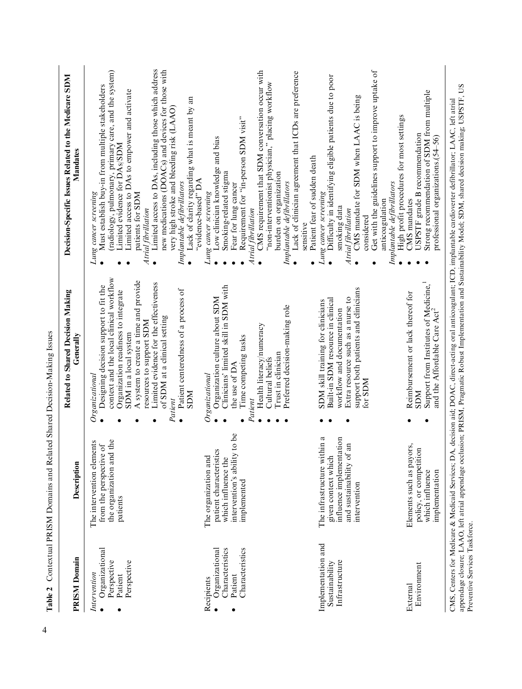| Low clinician knowledge and bias<br>Limited evidence for DAs/SDM<br>Patient fear of sudden death<br>Smoking-related stigma<br>burden on organization<br>"evidence-based" DA<br>Implantable defibrillators<br>Implantable defibrillators<br>Implantable defibrillators<br>Fear for lung cancer<br>Lung cancer screening<br>Lung cancer screening<br>patients for SDM<br>Lung cancer screening<br>anticoagulation<br>CMS mandates<br>smoking data<br>Atrial fibrillation<br>Atrial fibrillation<br>Atrial fibrillation<br>considered<br>sensitive<br>$\bullet$<br>$\bullet$<br>$\bullet$<br>context and the local clinical workflow<br>A system to create a time and provide<br>Limited evidence for the effectiveness<br>Designing decision support to fit the<br>Clinicians' limited skill in SDM with<br>support both patients and clinicians<br>Patient centeredness of a process of<br>Organization readiness to integrate<br>Reimbursement or lack thereof for<br>Organization culture about SDM<br>Extra resource such as a nurse to<br>Built-in SDM resource in clinical<br>SDM skill training for clinicians<br>Preferred decision-making role<br>workflow and documentation<br>of SDM at a clinical setting<br>resources to support SDM<br>Health literacy/numeracy<br>SDM in a local system<br>Time competing tasks<br>Trust in clinician<br>Cultural beliefs<br>the use of DA<br>Organizational<br>Organization<br>for SDM<br>NCS<br><b>NICIS</b><br>Patient<br>Patient<br>$\bullet$<br>intervention's ability to be<br>The infrastructure within a<br>influence implementation<br>the organization and the<br>ents<br>$\lim_{h \to 0}$<br>from the perspective of<br>Elements such as payors,<br>policy, or competition<br>patient characteristics<br>The intervention elem<br>The organization and<br>which influence the<br>given context which<br>and sustainability of<br>implemented<br>intervention<br>patients<br>Implementation and<br>Organizational<br>Characteristics<br>Characteristics<br>Organizational<br>Infrastructure<br>Perspective<br>Perspective<br>Sustainability<br>Environment<br>Intervention<br>Patient<br>Patient<br>Recipients<br>External | <b>PRISM Domain</b> | <b>Description</b> | Related to Shared Decision Making<br>Generally | Decision-Specific Issues Related to the Medicare SDM<br>Mandates                                                                                                                                                                                                                                                                                                      |
|-----------------------------------------------------------------------------------------------------------------------------------------------------------------------------------------------------------------------------------------------------------------------------------------------------------------------------------------------------------------------------------------------------------------------------------------------------------------------------------------------------------------------------------------------------------------------------------------------------------------------------------------------------------------------------------------------------------------------------------------------------------------------------------------------------------------------------------------------------------------------------------------------------------------------------------------------------------------------------------------------------------------------------------------------------------------------------------------------------------------------------------------------------------------------------------------------------------------------------------------------------------------------------------------------------------------------------------------------------------------------------------------------------------------------------------------------------------------------------------------------------------------------------------------------------------------------------------------------------------------------------------------------------------------------------------------------------------------------------------------------------------------------------------------------------------------------------------------------------------------------------------------------------------------------------------------------------------------------------------------------------------------------------------------------------------------------------------------------------------------------------------------------------------------------------------|---------------------|--------------------|------------------------------------------------|-----------------------------------------------------------------------------------------------------------------------------------------------------------------------------------------------------------------------------------------------------------------------------------------------------------------------------------------------------------------------|
|                                                                                                                                                                                                                                                                                                                                                                                                                                                                                                                                                                                                                                                                                                                                                                                                                                                                                                                                                                                                                                                                                                                                                                                                                                                                                                                                                                                                                                                                                                                                                                                                                                                                                                                                                                                                                                                                                                                                                                                                                                                                                                                                                                                   |                     |                    |                                                | Limited access to DAs, including those which address<br>new medications (DOACs) and devices for those with<br>(radiology, pulmonary, primary care, and the system)<br>Must establish buy-in from multiple stakeholders<br>Limited access to DAs to empower and activate<br>Lack of clarity regarding what is meant by an<br>very high stroke and bleeding risk (LAAO) |
|                                                                                                                                                                                                                                                                                                                                                                                                                                                                                                                                                                                                                                                                                                                                                                                                                                                                                                                                                                                                                                                                                                                                                                                                                                                                                                                                                                                                                                                                                                                                                                                                                                                                                                                                                                                                                                                                                                                                                                                                                                                                                                                                                                                   |                     |                    |                                                | CMS requirement that SDM conversation occur with<br>Lack of clinician agreement that ICDs are preference<br>"non-interventionist physician," placing workflow<br>Requirement for "in-person SDM visit"                                                                                                                                                                |
|                                                                                                                                                                                                                                                                                                                                                                                                                                                                                                                                                                                                                                                                                                                                                                                                                                                                                                                                                                                                                                                                                                                                                                                                                                                                                                                                                                                                                                                                                                                                                                                                                                                                                                                                                                                                                                                                                                                                                                                                                                                                                                                                                                                   |                     |                    |                                                | Get with the guidelines support to improve uptake of<br>Difficulty in identifying eligible patients due to poor<br>CMS mandate for SDM when LAAC is being                                                                                                                                                                                                             |
| and the Affordable Care Act <sup>2</sup><br>implementation                                                                                                                                                                                                                                                                                                                                                                                                                                                                                                                                                                                                                                                                                                                                                                                                                                                                                                                                                                                                                                                                                                                                                                                                                                                                                                                                                                                                                                                                                                                                                                                                                                                                                                                                                                                                                                                                                                                                                                                                                                                                                                                        |                     | which influence    | Support from Institutes of Medicine,           | Strong recommendation of SDM from multiple<br>High profit procedures for most settings<br>USPSTF grade B recommendation<br>professional organizations.(54-56)                                                                                                                                                                                                         |

Table 2 Contextual PRISM Domains and Related Shared Decision-Making Issues Table 2 Contextual PRISM Domains and Related Shared Decision-Making Issues

4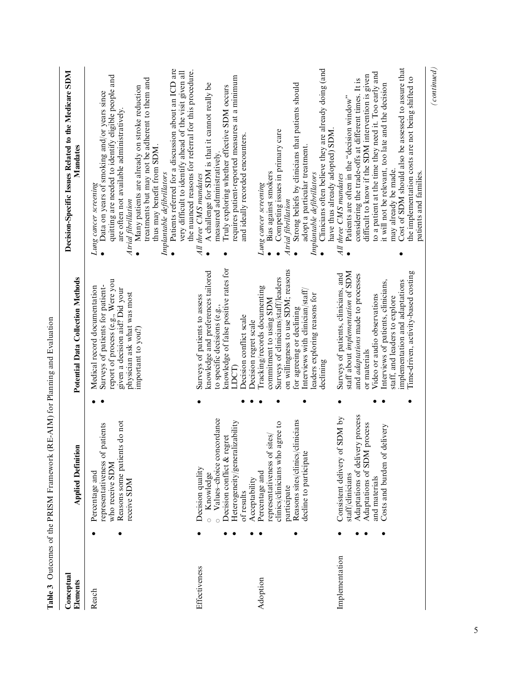| Reach          | ition<br><b>Applied Defin</b>                                                                                                                                                   | Potential Data Collection Methods                                                                                                                                                                                                                                                                                     | Decision-Specific Issues Related to the Medicare SDM<br>Mandates                                                                                                                                                                                                                                                                                                                                                                                                                                  |
|----------------|---------------------------------------------------------------------------------------------------------------------------------------------------------------------------------|-----------------------------------------------------------------------------------------------------------------------------------------------------------------------------------------------------------------------------------------------------------------------------------------------------------------------|---------------------------------------------------------------------------------------------------------------------------------------------------------------------------------------------------------------------------------------------------------------------------------------------------------------------------------------------------------------------------------------------------------------------------------------------------------------------------------------------------|
|                | ients do not<br>of patients<br>Reasons some pati<br>representativeness<br>who receive SDM<br>Percentage and<br>receive SDM                                                      | report of process (e.g., Were you<br>Surveys of patients for patient-<br>Medical record documentation<br>given a decision aid? Did your<br>physician ask what was most<br>important to you?)                                                                                                                          | Patients referred for a discussion about an ICD are<br>very difficult to identify ahead of the visit given all<br>quitting are needed to identify eligible people and<br>treatments but may not be adherent to them and<br>Many patients are already on stroke reduction<br>Data on years of smoking and/or years since<br>are often not available administratively<br>thus may benefit from SDM.<br>Implantable defibrillators<br>Lung cancer screening<br>Atrial fibrillation                   |
| Effectiveness  | concordance<br>Heterogeneity/generalizability<br>Decision conflict & regret<br>Values-choice<br>Decision quality<br>Knowledge<br>of results                                     | knowledge of false positive rates for<br>knowledge and preferences tailored<br>Surveys of patients to assess<br>to specific decisions (e.g.,<br>Decision conflict scale<br><b>LDCT</b>                                                                                                                                | the nuanced reasons for referral for this procedure.<br>requires patient-reported measures at a minimum<br>A challenge for SDM is that it cannot really be<br>Truly exploring whether effective SDM occurs<br>and ideally recorded encounters.<br>measured administratively.<br>All three CMS mandates                                                                                                                                                                                            |
| Adoption       | Reasons sites/clinics/clinicians<br>clinics/clinicians who agree to<br>representativeness of sites/<br>decline to participate<br>Percentage and<br>Acceptability<br>participate | on willingness to use SDM; reasons<br>Surveys of clinicians/staff/leaders<br>Tracking/records documenting<br>Interviews with clinician/staff/<br>leaders exploring reasons for<br>commitment to using SDM<br>for agreeing or declining<br>Decision regret scale<br>declining                                          | Clinicians often believe they are already doing (and<br>Strong beliefs by clinicians that patients should<br>Competing issues in primary care<br>adopt a particular treatment.<br>Bias against smokers<br>Implantable defibrillators<br>Lung cancer screening<br>Atrial fibrillation                                                                                                                                                                                                              |
| Implementation | Adaptations of delivery process<br>Consistent delivery of SDM by<br>Adaptations of SDM process<br>of delivery<br>Costs and burden<br>staff/clinicians<br>and materials          | Time-driven, activity-based costing<br>staff about implementation of SDM<br>Surveys of patients, clinicians, and<br>and <i>adaptations</i> made to processes<br>Interviews of patients, clinicians,<br>implementation and adaptations<br>Video or audio observations<br>staff, and leaders to explore<br>or materials | Cost of SDM should also be assessed to assure that<br>to a patient at the time they need it. Too early and<br>difficult to know if the SDM intervention is given<br>the implementation costs are not being shifted to<br>considering the trade-offs at different times. It is<br>it will not be relevant, too late and the decision<br>Patients are often in the "decision window"<br>have thus already adopted) SDM.<br>may already be made.<br>patients and families.<br>All three CMS mandates |

5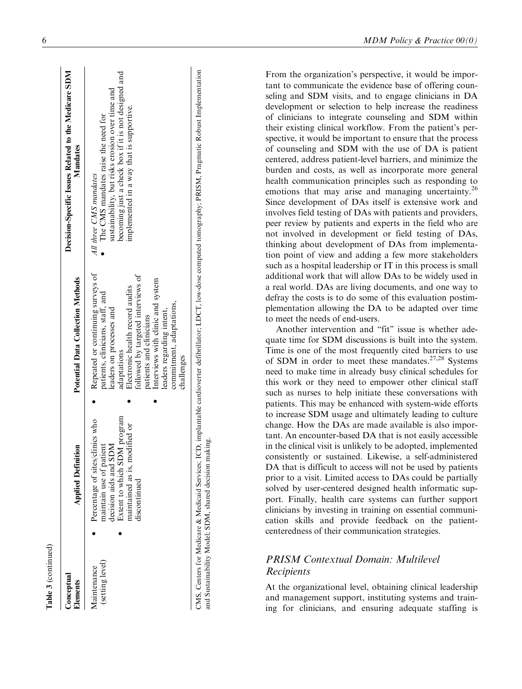| Conceptual<br>Elements         | <b>Applied Definition</b>                                                                                                                                           | <b>Potential Data Collection Methods</b>                                                                                                                                                                                                                                                                                         | Decision-Specific Issues Related to the Medicare SDM<br>Mandates                                                                                                                                                    |
|--------------------------------|---------------------------------------------------------------------------------------------------------------------------------------------------------------------|----------------------------------------------------------------------------------------------------------------------------------------------------------------------------------------------------------------------------------------------------------------------------------------------------------------------------------|---------------------------------------------------------------------------------------------------------------------------------------------------------------------------------------------------------------------|
| (setting level)<br>Maintenance | Extent to which SDM program<br>Percentage of sites/clinics who<br>naintained as is, modified or<br>naintain use of patient<br>decision aids and SDM<br>discontinued | Repeated or continuing surveys of<br>followed by targeted interviews of<br>Interviews with clinic and system<br>Electronic health record audits<br>patients, clinicians, staff, and<br>commitment, adaptations,<br>leaders on processes and<br>leaders regarding intent,<br>patients and clinicians<br>adaptations<br>challenges | becoming just a check box if it is not designed and<br>sustainability, but risks erosion over time and<br>implemented in a way that is supportive.<br>The CMS mandates raise the need for<br>All three CMS mandates |

CMS, Centers for Medicare & Medicaid Services, ICD, implantable cardioverter defibrillator; LDCT, low-dose computed tomography; PRISM, Pragmatic Robust Implementation CMS, Centers for Medicare & Medicaid Services; ICD, implantable cardioverter defibrillator; LDCT, low-dose computed tomography; PRISM, Pragmatic Robust Implementation and Sustainability Model; SDM, shared decision making. and Sustainability Model; SDM, shared decision making.

From the organization's perspective, it would be important to communicate the evidence base of offering counseling and SDM visits, and to engage clinicians in DA development or selection to help increase the readiness of clinicians to integrate counseling and SDM within their existing clinical workflow. From the patient's perspective, it would be important to ensure that the process of counseling and SDM with the use of DA is patient centered, address patient-level barriers, and minimize the burden and costs, as well as incorporate more general health communication principles such as responding to emotions that may arise and managing uncertainty.<sup>26</sup> Since development of DAs itself is extensive work and involves field testing of DAs with patients and providers, peer review by patients and experts in the field who are not involved in development or field testing of DAs, thinking about development of DAs from implementation point of view and adding a few more stakeholders such as a hospital leadership or IT in this process is small additional work that will allow DAs to be widely used in a real world. DAs are living documents, and one way to defray the costs is to do some of this evaluation postimplementation allowing the DA to be adapted over time to meet the needs of end-users.

Another intervention and "fit" issue is whether adequate time for SDM discussions is built into the system. Time is one of the most frequently cited barriers to use of SDM in order to meet these mandates.<sup>27,28</sup> Systems need to make time in already busy clinical schedules for this work or they need to empower other clinical staff such as nurses to help initiate these conversations with patients. This may be enhanced with system-wide efforts to increase SDM usage and ultimately leading to culture change. How the DAs are made available is also important. An encounter-based DA that is not easily accessible in the clinical visit is unlikely to be adopted, implemented consistently or sustained. Likewise, a self-administered DA that is difficult to access will not be used by patients prior to a visit. Limited access to DAs could be partially solved by user-centered designed health informatic support. Finally, health care systems can further support clinicians by investing in training on essential communication skills and provide feedback on the patientcenteredness of their communication strategies.

# PRISM Contextual Domain: Multilevel Recipients

At the organizational level, obtaining clinical leadership and management support, instituting systems and training for clinicians, and ensuring adequate staffing is

Table 3 (continued)

(continued)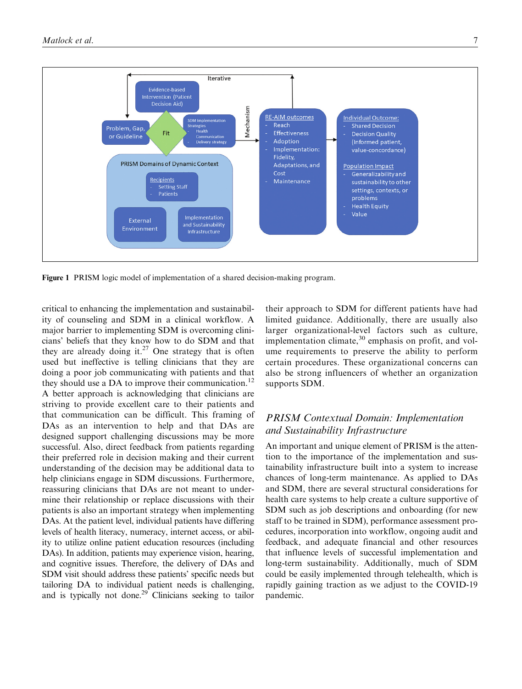

Figure 1 PRISM logic model of implementation of a shared decision-making program.

critical to enhancing the implementation and sustainability of counseling and SDM in a clinical workflow. A major barrier to implementing SDM is overcoming clinicians' beliefs that they know how to do SDM and that they are already doing it.<sup>27</sup> One strategy that is often used but ineffective is telling clinicians that they are doing a poor job communicating with patients and that they should use a DA to improve their communication.<sup>12</sup> A better approach is acknowledging that clinicians are striving to provide excellent care to their patients and that communication can be difficult. This framing of DAs as an intervention to help and that DAs are designed support challenging discussions may be more successful. Also, direct feedback from patients regarding their preferred role in decision making and their current understanding of the decision may be additional data to help clinicians engage in SDM discussions. Furthermore, reassuring clinicians that DAs are not meant to undermine their relationship or replace discussions with their patients is also an important strategy when implementing DAs. At the patient level, individual patients have differing levels of health literacy, numeracy, internet access, or ability to utilize online patient education resources (including DAs). In addition, patients may experience vision, hearing, and cognitive issues. Therefore, the delivery of DAs and SDM visit should address these patients' specific needs but tailoring DA to individual patient needs is challenging, and is typically not done.<sup>29</sup> Clinicians seeking to tailor

their approach to SDM for different patients have had limited guidance. Additionally, there are usually also larger organizational-level factors such as culture, implementation climate, $30$  emphasis on profit, and volume requirements to preserve the ability to perform certain procedures. These organizational concerns can also be strong influencers of whether an organization supports SDM.

## PRISM Contextual Domain: Implementation and Sustainability Infrastructure

An important and unique element of PRISM is the attention to the importance of the implementation and sustainability infrastructure built into a system to increase chances of long-term maintenance. As applied to DAs and SDM, there are several structural considerations for health care systems to help create a culture supportive of SDM such as job descriptions and onboarding (for new staff to be trained in SDM), performance assessment procedures, incorporation into workflow, ongoing audit and feedback, and adequate financial and other resources that influence levels of successful implementation and long-term sustainability. Additionally, much of SDM could be easily implemented through telehealth, which is rapidly gaining traction as we adjust to the COVID-19 pandemic.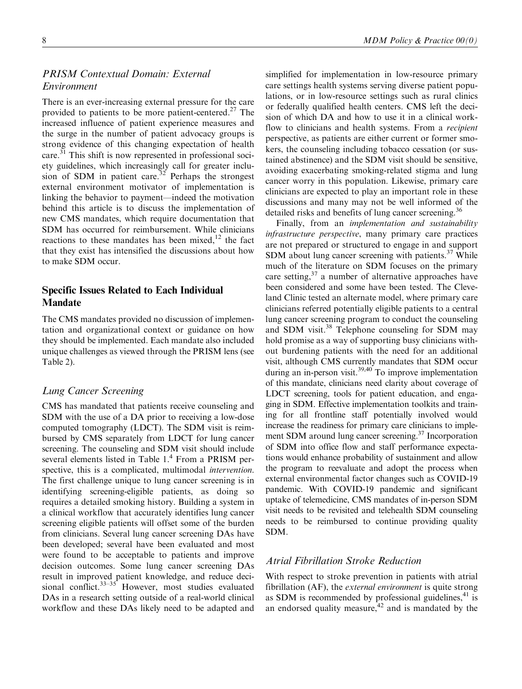## PRISM Contextual Domain: External Environment

There is an ever-increasing external pressure for the care provided to patients to be more patient-centered.<sup>27</sup> The increased influence of patient experience measures and the surge in the number of patient advocacy groups is strong evidence of this changing expectation of health care.<sup>31</sup> This shift is now represented in professional society guidelines, which increasingly call for greater inclusion of SDM in patient care.<sup>32</sup> Perhaps the strongest external environment motivator of implementation is linking the behavior to payment—indeed the motivation behind this article is to discuss the implementation of new CMS mandates, which require documentation that SDM has occurred for reimbursement. While clinicians reactions to these mandates has been mixed, $12$  the fact that they exist has intensified the discussions about how to make SDM occur.

### Specific Issues Related to Each Individual Mandate

The CMS mandates provided no discussion of implementation and organizational context or guidance on how they should be implemented. Each mandate also included unique challenges as viewed through the PRISM lens (see Table 2).

## Lung Cancer Screening

CMS has mandated that patients receive counseling and SDM with the use of a DA prior to receiving a low-dose computed tomography (LDCT). The SDM visit is reimbursed by CMS separately from LDCT for lung cancer screening. The counseling and SDM visit should include several elements listed in Table 1.<sup>4</sup> From a PRISM perspective, this is a complicated, multimodal intervention. The first challenge unique to lung cancer screening is in identifying screening-eligible patients, as doing so requires a detailed smoking history. Building a system in a clinical workflow that accurately identifies lung cancer screening eligible patients will offset some of the burden from clinicians. Several lung cancer screening DAs have been developed; several have been evaluated and most were found to be acceptable to patients and improve decision outcomes. Some lung cancer screening DAs result in improved patient knowledge, and reduce decisional conflict. $33-35$  However, most studies evaluated DAs in a research setting outside of a real-world clinical workflow and these DAs likely need to be adapted and

simplified for implementation in low-resource primary care settings health systems serving diverse patient populations, or in low-resource settings such as rural clinics or federally qualified health centers. CMS left the decision of which DA and how to use it in a clinical workflow to clinicians and health systems. From a recipient perspective, as patients are either current or former smokers, the counseling including tobacco cessation (or sustained abstinence) and the SDM visit should be sensitive, avoiding exacerbating smoking-related stigma and lung cancer worry in this population. Likewise, primary care clinicians are expected to play an important role in these discussions and many may not be well informed of the detailed risks and benefits of lung cancer screening.<sup>36</sup>

Finally, from an implementation and sustainability infrastructure perspective, many primary care practices are not prepared or structured to engage in and support SDM about lung cancer screening with patients. $37$  While much of the literature on SDM focuses on the primary care setting,  $37$  a number of alternative approaches have been considered and some have been tested. The Cleveland Clinic tested an alternate model, where primary care clinicians referred potentially eligible patients to a central lung cancer screening program to conduct the counseling and SDM visit.<sup>38</sup> Telephone counseling for SDM may hold promise as a way of supporting busy clinicians without burdening patients with the need for an additional visit, although CMS currently mandates that SDM occur during an in-person visit.<sup>39,40</sup> To improve implementation of this mandate, clinicians need clarity about coverage of LDCT screening, tools for patient education, and engaging in SDM. Effective implementation toolkits and training for all frontline staff potentially involved would increase the readiness for primary care clinicians to implement SDM around lung cancer screening.<sup>37</sup> Incorporation of SDM into office flow and staff performance expectations would enhance probability of sustainment and allow the program to reevaluate and adopt the process when external environmental factor changes such as COVID-19 pandemic. With COVID-19 pandemic and significant uptake of telemedicine, CMS mandates of in-person SDM visit needs to be revisited and telehealth SDM counseling needs to be reimbursed to continue providing quality SDM.

## Atrial Fibrillation Stroke Reduction

With respect to stroke prevention in patients with atrial fibrillation (AF), the *external environment* is quite strong as SDM is recommended by professional guidelines, $41$  is an endorsed quality measure, $42$  and is mandated by the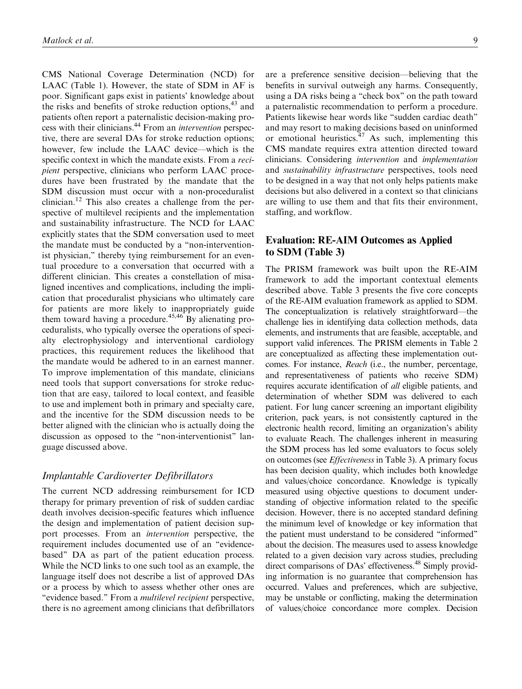CMS National Coverage Determination (NCD) for LAAC (Table 1). However, the state of SDM in AF is poor. Significant gaps exist in patients' knowledge about the risks and benefits of stroke reduction options,<sup>43</sup> and patients often report a paternalistic decision-making process with their clinicians.<sup>44</sup> From an *intervention* perspective, there are several DAs for stroke reduction options; however, few include the LAAC device—which is the specific context in which the mandate exists. From a recipient perspective, clinicians who perform LAAC procedures have been frustrated by the mandate that the SDM discussion must occur with a non-proceduralist clinician.<sup>12</sup> This also creates a challenge from the perspective of multilevel recipients and the implementation and sustainability infrastructure. The NCD for LAAC explicitly states that the SDM conversation used to meet the mandate must be conducted by a ''non-interventionist physician," thereby tying reimbursement for an eventual procedure to a conversation that occurred with a different clinician. This creates a constellation of misaligned incentives and complications, including the implication that proceduralist physicians who ultimately care for patients are more likely to inappropriately guide them toward having a procedure.<sup>45,46</sup> By alienating proceduralists, who typically oversee the operations of specialty electrophysiology and interventional cardiology practices, this requirement reduces the likelihood that the mandate would be adhered to in an earnest manner. To improve implementation of this mandate, clinicians need tools that support conversations for stroke reduction that are easy, tailored to local context, and feasible to use and implement both in primary and specialty care, and the incentive for the SDM discussion needs to be better aligned with the clinician who is actually doing the discussion as opposed to the ''non-interventionist'' language discussed above.

#### Implantable Cardioverter Defibrillators

The current NCD addressing reimbursement for ICD therapy for primary prevention of risk of sudden cardiac death involves decision-specific features which influence the design and implementation of patient decision support processes. From an intervention perspective, the requirement includes documented use of an ''evidencebased'' DA as part of the patient education process. While the NCD links to one such tool as an example, the language itself does not describe a list of approved DAs or a process by which to assess whether other ones are "evidence based." From a *multilevel recipient* perspective, there is no agreement among clinicians that defibrillators are a preference sensitive decision—believing that the benefits in survival outweigh any harms. Consequently, using a DA risks being a ''check box'' on the path toward a paternalistic recommendation to perform a procedure. Patients likewise hear words like ''sudden cardiac death'' and may resort to making decisions based on uninformed or emotional heuristics.  $47$  As such, implementing this CMS mandate requires extra attention directed toward clinicians. Considering intervention and implementation and sustainability infrastructure perspectives, tools need to be designed in a way that not only helps patients make decisions but also delivered in a context so that clinicians are willing to use them and that fits their environment, staffing, and workflow.

## Evaluation: RE-AIM Outcomes as Applied to SDM (Table 3)

The PRISM framework was built upon the RE-AIM framework to add the important contextual elements described above. Table 3 presents the five core concepts of the RE-AIM evaluation framework as applied to SDM. The conceptualization is relatively straightforward—the challenge lies in identifying data collection methods, data elements, and instruments that are feasible, acceptable, and support valid inferences. The PRISM elements in Table 2 are conceptualized as affecting these implementation outcomes. For instance, Reach (i.e., the number, percentage, and representativeness of patients who receive SDM) requires accurate identification of all eligible patients, and determination of whether SDM was delivered to each patient. For lung cancer screening an important eligibility criterion, pack years, is not consistently captured in the electronic health record, limiting an organization's ability to evaluate Reach. The challenges inherent in measuring the SDM process has led some evaluators to focus solely on outcomes (see Effectiveness in Table 3). A primary focus has been decision quality, which includes both knowledge and values/choice concordance. Knowledge is typically measured using objective questions to document understanding of objective information related to the specific decision. However, there is no accepted standard defining the minimum level of knowledge or key information that the patient must understand to be considered ''informed'' about the decision. The measures used to assess knowledge related to a given decision vary across studies, precluding direct comparisons of DAs' effectiveness.<sup>48</sup> Simply providing information is no guarantee that comprehension has occurred. Values and preferences, which are subjective, may be unstable or conflicting, making the determination of values/choice concordance more complex. Decision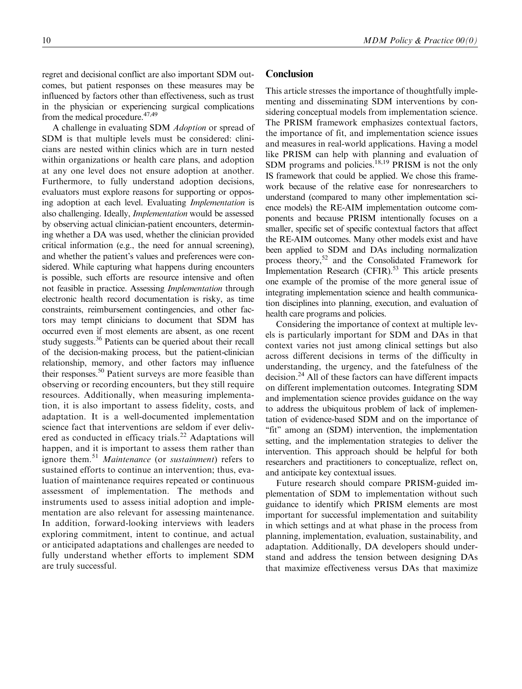#### regret and decisional conflict are also important SDM outcomes, but patient responses on these measures may be influenced by factors other than effectiveness, such as trust in the physician or experiencing surgical complications from the medical procedure. $47,49$

A challenge in evaluating SDM Adoption or spread of SDM is that multiple levels must be considered: clinicians are nested within clinics which are in turn nested within organizations or health care plans, and adoption at any one level does not ensure adoption at another. Furthermore, to fully understand adoption decisions, evaluators must explore reasons for supporting or opposing adoption at each level. Evaluating Implementation is also challenging. Ideally, Implementation would be assessed by observing actual clinician-patient encounters, determining whether a DA was used, whether the clinician provided critical information (e.g., the need for annual screening), and whether the patient's values and preferences were considered. While capturing what happens during encounters is possible, such efforts are resource intensive and often not feasible in practice. Assessing Implementation through electronic health record documentation is risky, as time constraints, reimbursement contingencies, and other factors may tempt clinicians to document that SDM has occurred even if most elements are absent, as one recent study suggests.<sup>36</sup> Patients can be queried about their recall of the decision-making process, but the patient-clinician relationship, memory, and other factors may influence their responses.<sup>50</sup> Patient surveys are more feasible than observing or recording encounters, but they still require resources. Additionally, when measuring implementation, it is also important to assess fidelity, costs, and adaptation. It is a well-documented implementation science fact that interventions are seldom if ever delivered as conducted in efficacy trials.<sup>22</sup> Adaptations will happen, and it is important to assess them rather than ignore them.<sup>51</sup> Maintenance (or sustainment) refers to sustained efforts to continue an intervention; thus, evaluation of maintenance requires repeated or continuous assessment of implementation. The methods and instruments used to assess initial adoption and implementation are also relevant for assessing maintenance. In addition, forward-looking interviews with leaders exploring commitment, intent to continue, and actual or anticipated adaptations and challenges are needed to fully understand whether efforts to implement SDM are truly successful.

#### 10 MDM Policy & Practice 00(0)

#### **Conclusion**

This article stresses the importance of thoughtfully implementing and disseminating SDM interventions by considering conceptual models from implementation science. The PRISM framework emphasizes contextual factors, the importance of fit, and implementation science issues and measures in real-world applications. Having a model like PRISM can help with planning and evaluation of SDM programs and policies.<sup>18,19</sup> PRISM is not the only IS framework that could be applied. We chose this framework because of the relative ease for nonresearchers to understand (compared to many other implementation science models) the RE-AIM implementation outcome components and because PRISM intentionally focuses on a smaller, specific set of specific contextual factors that affect the RE-AIM outcomes. Many other models exist and have been applied to SDM and DAs including normalization process theory,<sup>52</sup> and the Consolidated Framework for Implementation Research  $(CFIR)$ .<sup>53</sup> This article presents one example of the promise of the more general issue of integrating implementation science and health communication disciplines into planning, execution, and evaluation of health care programs and policies.

Considering the importance of context at multiple levels is particularly important for SDM and DAs in that context varies not just among clinical settings but also across different decisions in terms of the difficulty in understanding, the urgency, and the fatefulness of the decision.<sup>24</sup> All of these factors can have different impacts on different implementation outcomes. Integrating SDM and implementation science provides guidance on the way to address the ubiquitous problem of lack of implementation of evidence-based SDM and on the importance of "fit" among an (SDM) intervention, the implementation setting, and the implementation strategies to deliver the intervention. This approach should be helpful for both researchers and practitioners to conceptualize, reflect on, and anticipate key contextual issues.

Future research should compare PRISM-guided implementation of SDM to implementation without such guidance to identify which PRISM elements are most important for successful implementation and suitability in which settings and at what phase in the process from planning, implementation, evaluation, sustainability, and adaptation. Additionally, DA developers should understand and address the tension between designing DAs that maximize effectiveness versus DAs that maximize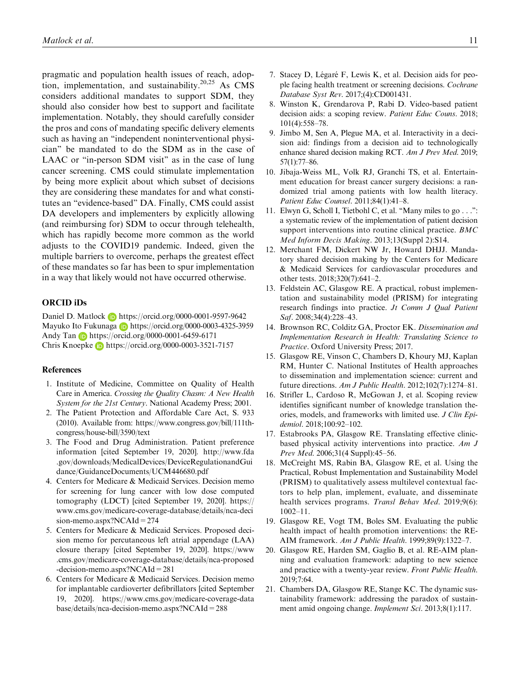pragmatic and population health issues of reach, adoption, implementation, and sustainability.<sup>20,25</sup> As CMS considers additional mandates to support SDM, they should also consider how best to support and facilitate implementation. Notably, they should carefully consider the pros and cons of mandating specific delivery elements such as having an ''independent noninterventional physician'' be mandated to do the SDM as in the case of LAAC or "in-person SDM visit" as in the case of lung cancer screening. CMS could stimulate implementation by being more explicit about which subset of decisions they are considering these mandates for and what constitutes an ''evidence-based'' DA. Finally, CMS could assist DA developers and implementers by explicitly allowing (and reimbursing for) SDM to occur through telehealth, which has rapidly become more common as the world adjusts to the COVID19 pandemic. Indeed, given the multiple barriers to overcome, perhaps the greatest effect of these mandates so far has been to spur implementation in a way that likely would not have occurred otherwise.

#### ORCID iDs

Daniel D. Matlock **b** <https://orcid.org/0000-0001-9597-9642> Mayuko Ito Fukunaga **h**ttps://orcid.org/0000-0003-4325-3959 Andy Tan **b** <https://orcid.org/0000-0001-6459-6171> Chris Knoepke **h**ttps://orcid.org/0000-0003-3521-7157

#### References

- 1. Institute of Medicine, Committee on Quality of Health Care in America. Crossing the Quality Chasm: A New Health System for the 21st Century. National Academy Press; 2001.
- 2. The Patient Protection and Affordable Care Act, S. 933 (2010). Available from: [https://www.congress.gov/bill/111th](https://www.congress.gov/bill/111th-congress/house-bill/3590/text)[congress/house-bill/3590/text](https://www.congress.gov/bill/111th-congress/house-bill/3590/text)
- 3. The Food and Drug Administration. Patient preference information [cited September 19, 2020]. [http://www.fda](http://www.fda.gov/downloads/MedicalDevices/DeviceRegulationandGuidance/GuidanceDocuments/UCM446680.pdf) [.gov/downloads/MedicalDevices/DeviceRegulationandGui](http://www.fda.gov/downloads/MedicalDevices/DeviceRegulationandGuidance/GuidanceDocuments/UCM446680.pdf) [dance/GuidanceDocuments/UCM446680.pdf](http://www.fda.gov/downloads/MedicalDevices/DeviceRegulationandGuidance/GuidanceDocuments/UCM446680.pdf)
- 4. Centers for Medicare & Medicaid Services. Decision memo for screening for lung cancer with low dose computed tomography (LDCT) [cited September 19, 2020]. [https://](https://www.cms.gov/medicare-coverage-database/details/nca-decision-memo.aspx?NCAId=274) [www.cms.gov/medicare-coverage-database/details/nca-deci](https://www.cms.gov/medicare-coverage-database/details/nca-decision-memo.aspx?NCAId=274) [sion-memo.aspx?NCAId=274](https://www.cms.gov/medicare-coverage-database/details/nca-decision-memo.aspx?NCAId=274)
- 5. Centers for Medicare & Medicaid Services. Proposed decision memo for percutaneous left atrial appendage (LAA) closure therapy [cited September 19, 2020]. [https://www](https://www.cms.gov/medicare-coverage-database/details/nca-proposed-decision-memo.aspx?NCAId=281) [.cms.gov/medicare-coverage-database/details/nca-proposed](https://www.cms.gov/medicare-coverage-database/details/nca-proposed-decision-memo.aspx?NCAId=281) [-decision-memo.aspx?NCAId=281](https://www.cms.gov/medicare-coverage-database/details/nca-proposed-decision-memo.aspx?NCAId=281)
- 6. Centers for Medicare & Medicaid Services. Decision memo for implantable cardioverter defibrillators [cited September 19, 2020]. [https://www.cms.gov/medicare-coverage-data](https://www.cms.gov/medicare-coverage-database/details/nca-decision-memo.aspx?NCAId=288) [base/details/nca-decision-memo.aspx?NCAId=288](https://www.cms.gov/medicare-coverage-database/details/nca-decision-memo.aspx?NCAId=288)
- 7. Stacey D, Légaré F, Lewis K, et al. Decision aids for people facing health treatment or screening decisions. Cochrane Database Syst Rev. 2017;(4):CD001431.
- 8. Winston K, Grendarova P, Rabi D. Video-based patient decision aids: a scoping review. Patient Educ Couns. 2018; 101(4):558–78.
- 9. Jimbo M, Sen A, Plegue MA, et al. Interactivity in a decision aid: findings from a decision aid to technologically enhance shared decision making RCT. Am J Prev Med. 2019; 57(1):77–86.
- 10. Jibaja-Weiss ML, Volk RJ, Granchi TS, et al. Entertainment education for breast cancer surgery decisions: a randomized trial among patients with low health literacy. Patient Educ Counsel. 2011;84(1):41–8.
- 11. Elwyn G, Scholl I, Tietbohl C, et al. ''Many miles to go . . .'': a systematic review of the implementation of patient decision support interventions into routine clinical practice. BMC Med Inform Decis Making. 2013;13(Suppl 2):S14.
- 12. Merchant FM, Dickert NW Jr, Howard DHJJ. Mandatory shared decision making by the Centers for Medicare & Medicaid Services for cardiovascular procedures and other tests. 2018;320(7):641–2.
- 13. Feldstein AC, Glasgow RE. A practical, robust implementation and sustainability model (PRISM) for integrating research findings into practice. *Jt Comm J Qual Patient* Saf. 2008;34(4):228-43.
- 14. Brownson RC, Colditz GA, Proctor EK. Dissemination and Implementation Research in Health: Translating Science to Practice. Oxford University Press; 2017.
- 15. Glasgow RE, Vinson C, Chambers D, Khoury MJ, Kaplan RM, Hunter C. National Institutes of Health approaches to dissemination and implementation science: current and future directions. Am J Public Health. 2012;102(7):1274–81.
- 16. Strifler L, Cardoso R, McGowan J, et al. Scoping review identifies significant number of knowledge translation theories, models, and frameworks with limited use. J Clin Epidemiol. 2018;100:92–102.
- 17. Estabrooks PA, Glasgow RE. Translating effective clinicbased physical activity interventions into practice. Am J Prev Med. 2006;31(4 Suppl):45–56.
- 18. McCreight MS, Rabin BA, Glasgow RE, et al. Using the Practical, Robust Implementation and Sustainability Model (PRISM) to qualitatively assess multilevel contextual factors to help plan, implement, evaluate, and disseminate health services programs. Transl Behav Med. 2019;9(6): 1002–11.
- 19. Glasgow RE, Vogt TM, Boles SM. Evaluating the public health impact of health promotion interventions: the RE-AIM framework. Am J Public Health. 1999;89(9):1322–7.
- 20. Glasgow RE, Harden SM, Gaglio B, et al. RE-AIM planning and evaluation framework: adapting to new science and practice with a twenty-year review. Front Public Health. 2019;7:64.
- 21. Chambers DA, Glasgow RE, Stange KC. The dynamic sustainability framework: addressing the paradox of sustainment amid ongoing change. *Implement Sci.* 2013;8(1):117.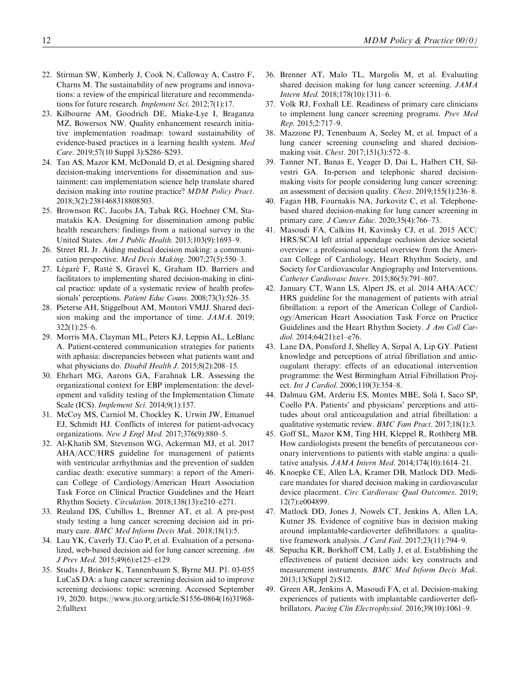- 22. Stirman SW, Kimberly J, Cook N, Calloway A, Castro F, Charns M. The sustainability of new programs and innovations: a review of the empirical literature and recommendations for future research. Implement Sci. 2012;7(1):17.
- 23. Kilbourne AM, Goodrich DE, Miake-Lye I, Braganza MZ, Bowersox NW. Quality enhancement research initiative implementation roadmap: toward sustainability of evidence-based practices in a learning health system. Med Care. 2019;57(10 Suppl 3):S286–S293.
- 24. Tan AS, Mazor KM, McDonald D, et al. Designing shared decision-making interventions for dissemination and sustainment: can implementation science help translate shared decision making into routine practice? MDM Policy Pract. 2018;3(2):2381468318808503.
- 25. Brownson RC, Jacobs JA, Tabak RG, Hoehner CM, Stamatakis KA. Designing for dissemination among public health researchers: findings from a national survey in the United States. Am J Public Health. 2013;103(9):1693–9.
- 26. Street RL Jr. Aiding medical decision making: a communication perspective. Med Decis Making. 2007;27(5):550–3.
- 27. Légaré F, Ratté S, Gravel K, Graham ID. Barriers and facilitators to implementing shared decision-making in clinical practice: update of a systematic review of health professionals' perceptions. Patient Educ Couns. 2008;73(3):526-35.
- 28. Pieterse AH, Stiggelbout AM, Montori VMJJ. Shared decision making and the importance of time. JAMA. 2019; 322(1):25–6.
- 29. Morris MA, Clayman ML, Peters KJ, Leppin AL, LeBlanc A. Patient-centered communication strategies for patients with aphasia: discrepancies between what patients want and what physicians do. Disabil Health J. 2015;8(2):208–15.
- 30. Ehrhart MG, Aarons GA, Farahnak LR. Assessing the organizational context for EBP implementation: the development and validity testing of the Implementation Climate Scale (ICS). Implement Sci. 2014;9(1):157.
- 31. McCoy MS, Carniol M, Chockley K, Urwin JW, Emanuel EJ, Schmidt HJ. Conflicts of interest for patient-advocacy organizations. New J Engl Med. 2017;376(9):880–5.
- 32. Al-Khatib SM, Stevenson WG, Ackerman MJ, et al. 2017 AHA/ACC/HRS guideline for management of patients with ventricular arrhythmias and the prevention of sudden cardiac death: executive summary: a report of the American College of Cardiology/American Heart Association Task Force on Clinical Practice Guidelines and the Heart Rhythm Society. Circulation. 2018;138(13):e210–e271.
- 33. Reuland DS, Cubillos L, Brenner AT, et al. A pre-post study testing a lung cancer screening decision aid in primary care. BMC Med Inform Decis Mak. 2018;18(1):5.
- 34. Lau YK, Caverly TJ, Cao P, et al. Evaluation of a personalized, web-based decision aid for lung cancer screening. Am J Prev Med. 2015;49(6):e125–e129.
- 35. Studts J, Brinker K, Tannenbaum S, Byrne MJ. P1. 03-055 LuCaS DA: a lung cancer screening decision aid to improve screening decisions: topic: screening. Accessed September 19, 2020. [https://www.jto.org/article/S1556-0864\(16\)31968-](https://www.jto.org/article/S1556-0864(16)31968-2/fulltext) [2/fulltext](https://www.jto.org/article/S1556-0864(16)31968-2/fulltext)
- 36. Brenner AT, Malo TL, Margolis M, et al. Evaluating shared decision making for lung cancer screening. JAMA Intern Med. 2018;178(10):1311–6.
- 37. Volk RJ, Foxhall LE. Readiness of primary care clinicians to implement lung cancer screening programs. Prev Med Rep. 2015;2:717–9.
- 38. Mazzone PJ, Tenenbaum A, Seeley M, et al. Impact of a lung cancer screening counseling and shared decisionmaking visit. Chest. 2017;151(3):572–8.
- 39. Tanner NT, Banas E, Yeager D, Dai L, Halbert CH, Silvestri GA. In-person and telephonic shared decisionmaking visits for people considering lung cancer screening: an assessment of decision quality. Chest. 2019;155(1):236–8.
- 40. Fagan HB, Fournakis NA, Jurkovitz C, et al. Telephonebased shared decision-making for lung cancer screening in primary care. J Cancer Educ. 2020;35(4):766–73.
- 41. Masoudi FA, Calkins H, Kavinsky CJ, et al. 2015 ACC/ HRS/SCAI left atrial appendage occlusion device societal overview: a professional societal overview from the American College of Cardiology, Heart Rhythm Society, and Society for Cardiovascular Angiography and Interventions. Catheter Cardiovasc Interv. 2015;86(5):791–807.
- 42. January CT, Wann LS, Alpert JS, et al. 2014 AHA/ACC/ HRS guideline for the management of patients with atrial fibrillation: a report of the American College of Cardiology/American Heart Association Task Force on Practice Guidelines and the Heart Rhythm Society. J Am Coll Cardiol. 2014;64(21):e1–e76.
- 43. Lane DA, Ponsford J, Shelley A, Sirpal A, Lip GY. Patient knowledge and perceptions of atrial fibrillation and anticoagulant therapy: effects of an educational intervention programme: the West Birmingham Atrial Fibrillation Project. Int J Cardiol. 2006;110(3):354-8.
- 44. Dalmau GM, Arderiu ES, Montes MBE, Sola` I, Saco SP, Coello PA. Patients' and physicians' perceptions and attitudes about oral anticoagulation and atrial fibrillation: a qualitative systematic review. BMC Fam Pract. 2017;18(1):3.
- 45. Goff SL, Mazor KM, Ting HH, Kleppel R, Rothberg MB. How cardiologists present the benefits of percutaneous coronary interventions to patients with stable angina: a qualitative analysis.  $JAMA$  Intern Med. 2014;174(10):1614–21.
- 46. Knoepke CE, Allen LA, Kramer DB, Matlock DD. Medicare mandates for shared decision making in cardiovascular device placement. Circ Cardiovasc Qual Outcomes. 2019; 12(7):e004899.
- 47. Matlock DD, Jones J, Nowels CT, Jenkins A, Allen LA, Kutner JS. Evidence of cognitive bias in decision making around implantable-cardioverter defibrillators: a qualitative framework analysis. J Card Fail. 2017;23(11):794-9.
- 48. Sepucha KR, Borkhoff CM, Lally J, et al. Establishing the effectiveness of patient decision aids: key constructs and measurement instruments. BMC Med Inform Decis Mak. 2013;13(Suppl 2):S12.
- 49. Green AR, Jenkins A, Masoudi FA, et al. Decision-making experiences of patients with implantable cardioverter defibrillators. Pacing Clin Electrophysiol. 2016;39(10):1061–9.